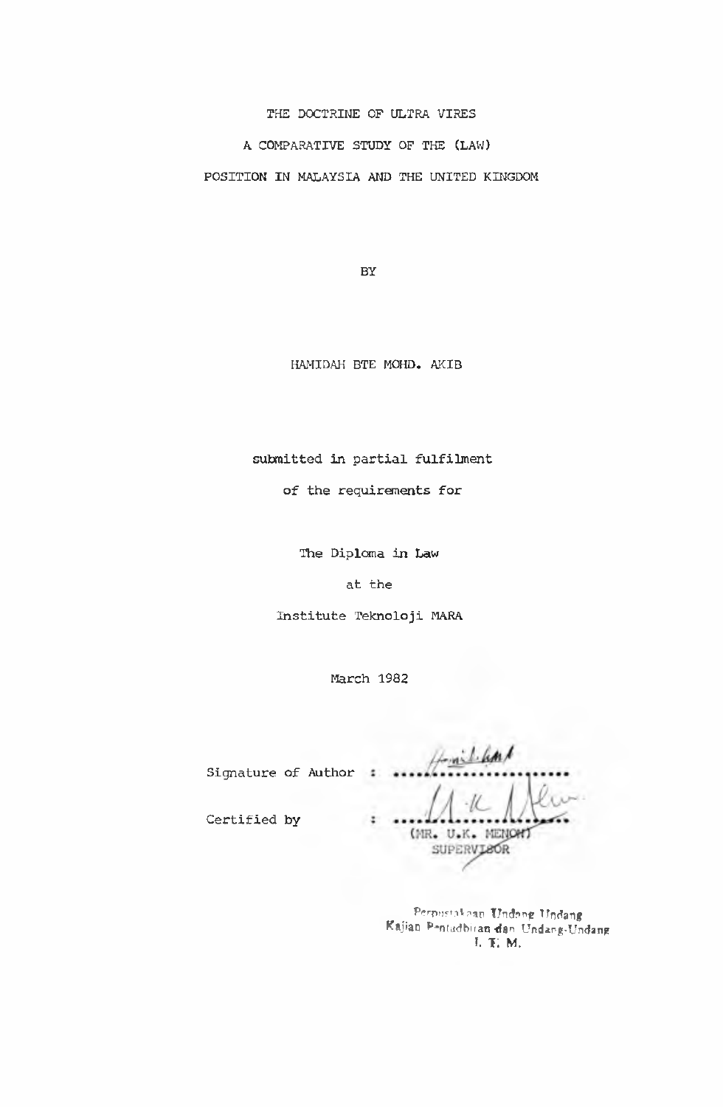**THE DOCTRINE OF ULTRA VIRES A COMPARATIVE STUDY OF THE (LAW) POSITION IN MALAYSIA AND THE UNITED KINGDOM**

**BY**

**HAMIDAH BTE MOHD. AKIB**

**submitted in partial fulfilment**

**of the requirements for**

**The Diploma in Law**

**at the**

**Institute Teknoloji MARA**

**March 1982**

**Signature of Author**  $\cdot$  $\ddot{\phantom{a}}$ (MR. U.K. MENONT SUPERVISOR

> Perpustakaan Undang Undang Kajian P-ntudbiran dan Undang-Undang **i.** *r.* **m.**

**Certified by**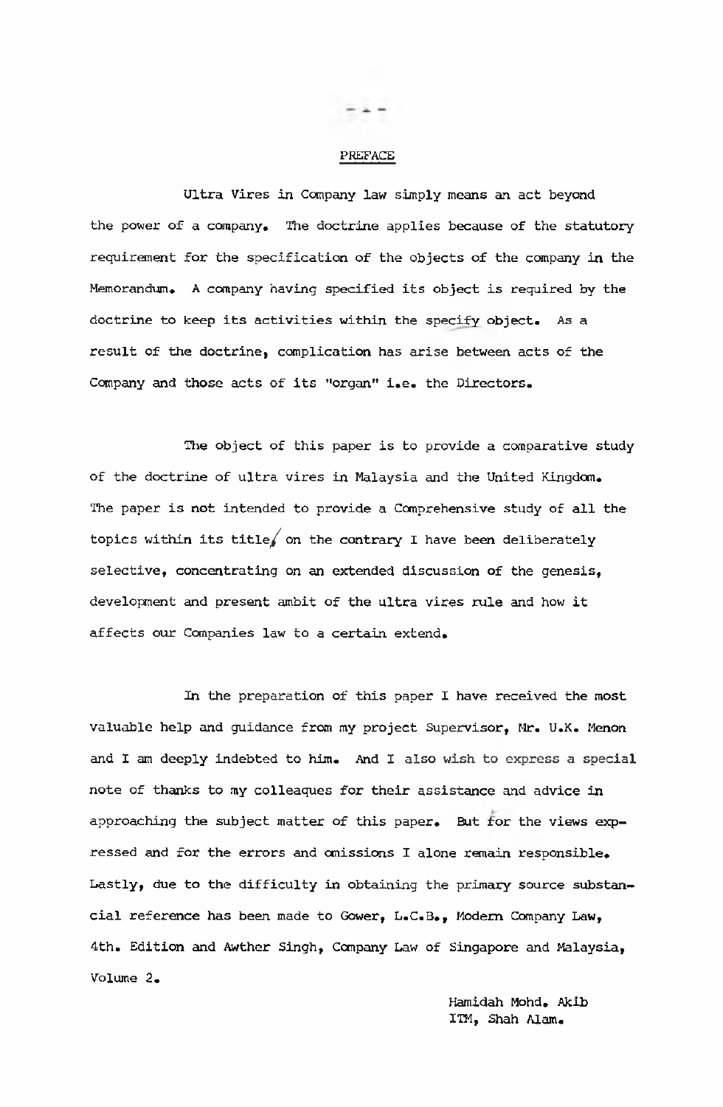#### PREFACE

**Ultra Vires in Company law simply means an act beyond the power of a company. The doctrine applies because of the statutory requirement for the specification of the objects of the company in the Memorandum. A company having specified its object is required by the doctrine to keep its activities within the specify object. As a result of the doctrine, complication has arise between acts of the Company and those acts of its "organ" i.e. the Directors.**

**The object of this paper is to provide a comparative study of the doctrine of ultra vires in Malaysia and the United Kingdom. The paper is not intended to provide a Comprehensive study of all the topics within its title/ on the contrary I have been deliberately selective, concentrating on an extended discussion of the genesis, development and present ambit of the ultra vires rule and how it affects our Companies law to a certain extend.**

**In the preparation of this paper I have received the most valuable help and guidance from my project Supervisor, Mr. U.K. Menon and I am deeply indebted to him. And I also wish to express a special note of thanks to my colleaques for their assistance and advice in** approaching the subject matter of this paper. But for the views exp**ressed and for the errors and omissions I alone remain responsible. Lastly, due to the difficulty in obtaining the primary source substan**cial reference has been made to Gower, L.C.B., Modern Company Law, **4th. Edition and Awther Singh, Company Law of Singapore and Malaysia, Volume 2.**

> **Hamidah Mohd. Akib ITM, Shah Alam.**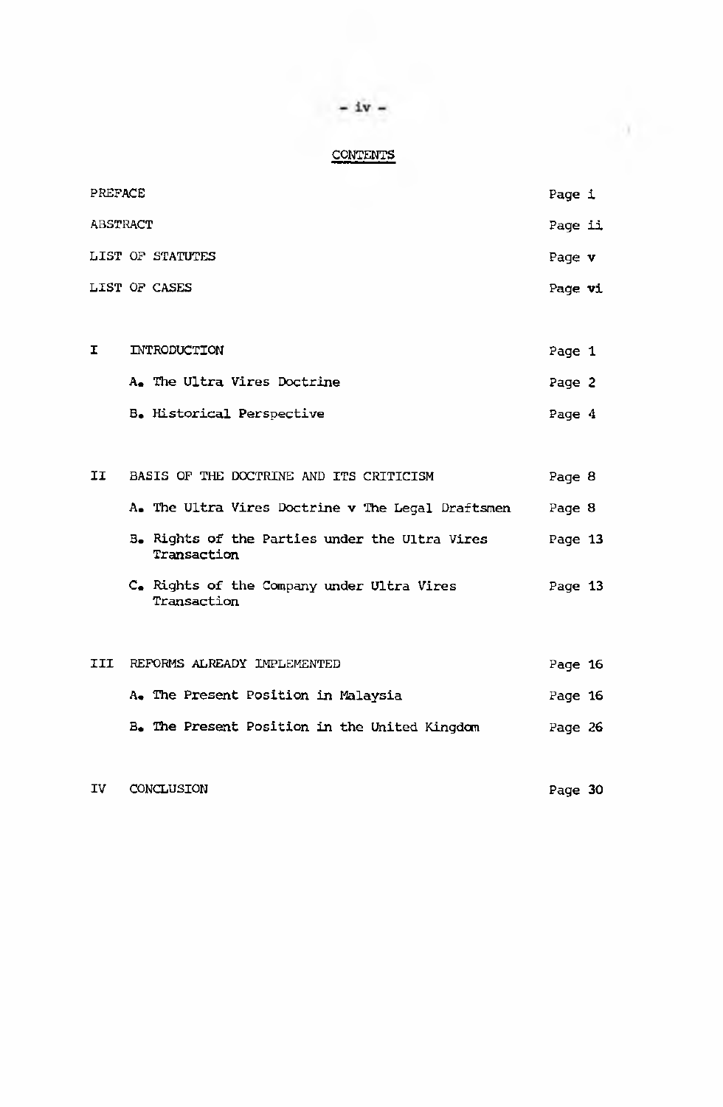# **CONTENTS**

| PREFACE  |  |                                                               | Page i  |  |
|----------|--|---------------------------------------------------------------|---------|--|
| ABSTRACT |  |                                                               | Page ii |  |
|          |  | LIST OF STATUTES                                              | Page v  |  |
|          |  | LIST OF CASES                                                 | Page vi |  |
|          |  |                                                               |         |  |
| Ι.       |  | INTRODUCTION                                                  | Page 1  |  |
|          |  | A. The Ultra Vires Doctrine                                   | Page 2  |  |
|          |  | B. Historical Perspective                                     | Page 4  |  |
|          |  |                                                               |         |  |
| II       |  | BASIS OF THE DOCTRINE AND ITS CRITICISM                       | Page 8  |  |
|          |  | A. The Ultra Vires Doctrine v The Legal Draftsmen             | Page 8  |  |
|          |  | B. Rights of the Parties under the Ultra Vires<br>Transaction | Page 13 |  |
|          |  | C. Rights of the Company under Ultra Vires<br>Transaction     | Page 13 |  |
|          |  |                                                               |         |  |
| III      |  | REFORMS ALREADY IMPLEMENTED                                   | Page 16 |  |
|          |  | A. The Present Position in Malaysia                           | Page 16 |  |
|          |  | B. The Present Position in the United Kingdom                 | Page 26 |  |
|          |  |                                                               |         |  |

**IV CONCLUSION Page 30**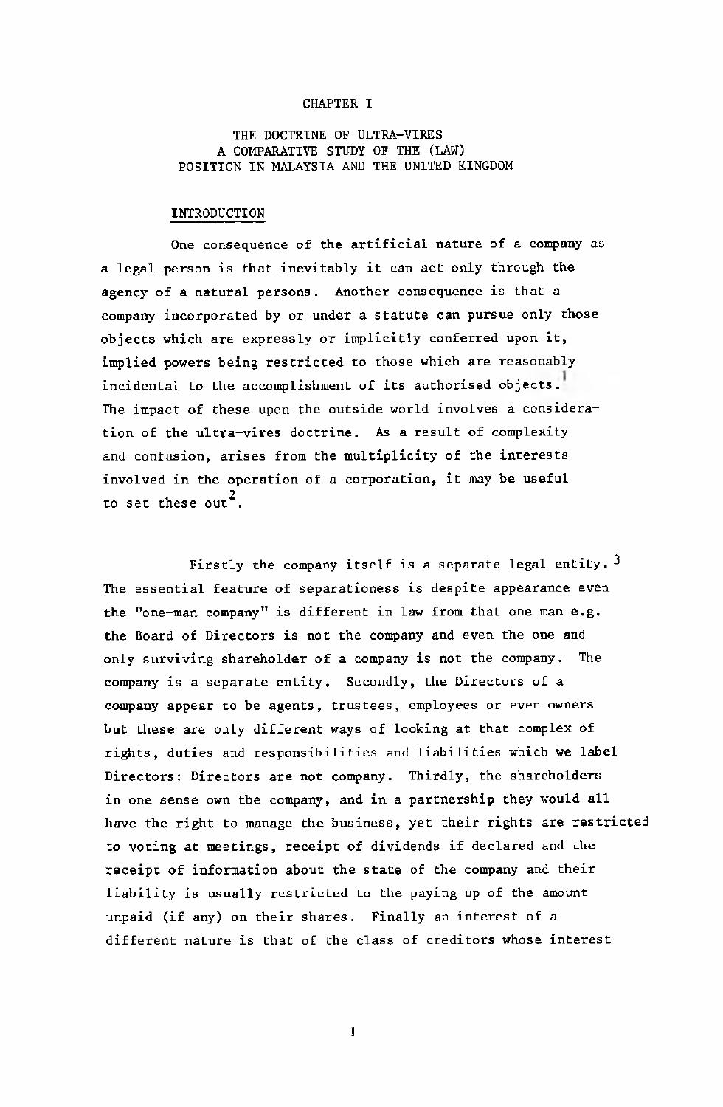### **CHAPTER I**

#### **THE DOCTRINE OF ULTRA-VIRES A COMPARATIVE STUDY OF THE (LAW) POSITION IN MALAYSIA AND THE UNITED KINGDOM**

#### **INTRODUCTION**

**One consequence of the artificial nature of a company as a legal person is that inevitably it can act only through the agency of a natural persons. Another consequence is that a company incorporated by or under a statute can pursue only those objects which are expressly or implicitly conferred upon it, implied powers being restricted to those which are reasonably incidental to the accomplishment of its authorised objects. The impact of these upon the outside world involves a consideration of the ultra-vires doctrine. As a result of complexity and confusion, arises from the multiplicity of the interests involved in the operation of a corporation, it may be useful** to set these out<sup>2</sup>.

Firstly the company itself is a separate legal entity.<sup>3</sup> **The essential feature of separationess is despite appearance even the "one-man company" is different in law from that one man e.g. the Board of Directors is not the company and even the one and only surviving shareholder of a company is not the company. The company is a separate entity. Secondly, the Directors of a company appear to be agents, trustees, employees or even owners but these are only different ways of looking at that complex of rights, duties and responsibilities and liabilities which we label Directors: Directors are not company. Thirdly, the shareholders in one sense own the company, and in a partnership they would all have the right to manage the business, yet their rights are restricted to voting at meetings, receipt of dividends if declared and the receipt of information about the state of the company and their liability is usually restricted to the paying up of the amount unpaid (if any) on their shares. Finally an interest of a different nature is that of the class of creditors whose interest**

**1**